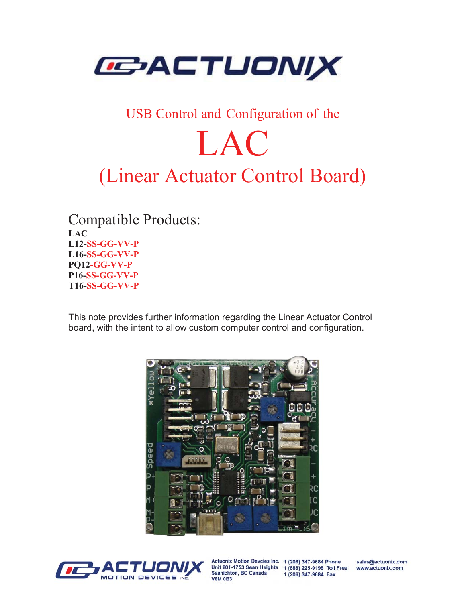

### USB Control and Configuration of the

# LAC

## (Linear Actuator Control Board)

Compatible Products: LAC L12-SS-GG-VV-P L16-SS-GG-VV-P PQ12-GG-VV-P P16-SS-GG-VV-P T16-SS-GG-VV-P

This note provides further information regarding the Linear Actuator Control board, with the intent to allow custom computer control and configuration.





Actuonix Motion Devcies Inc. 1 (206) 347-9684 Phone Unit 201-1753 Sean Heights 1 (888) 225-9198 Toll Free Saanichton, BC Canada **V8M 0B3** 

1 (206) 347-9684 Fax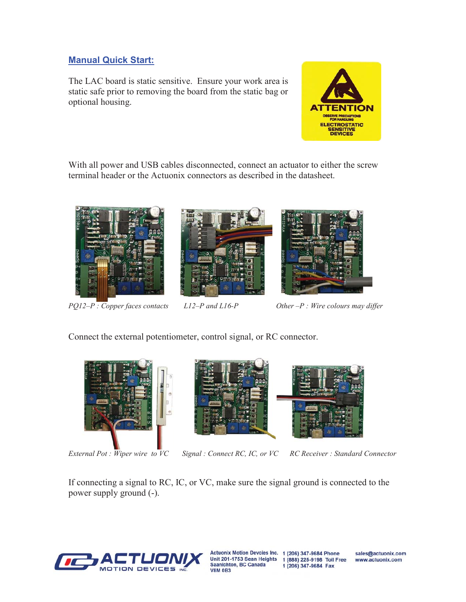#### Manual Quick Start:

The LAC board is static sensitive. Ensure your work area is static safe prior to removing the board from the static bag or optional housing.



With all power and USB cables disconnected, connect an actuator to either the screw terminal header or the Actuonix connectors as described in the datasheet.



*PQ12–P* : Copper faces contacts L12–P and L16-P Other –P : Wire colours may differ

Connect the external potentiometer, control signal, or RC connector.







*External Pot : Wiper wire to VC Signal : Connect RC, IC, or VC RC Receiver : Standard Connector*

If connecting a signal to RC, IC, or VC, make sure the signal ground is connected to the power supply ground (-).



Saanichton, BC Canada **V8M 0B3** 

Actuonix Motion Devcies Inc. 1 (206) 347-9684 Phone Unit 201-1753 Sean Heights 1 (888) 225-9198 Toll Free 1 (206) 347-9684 Fax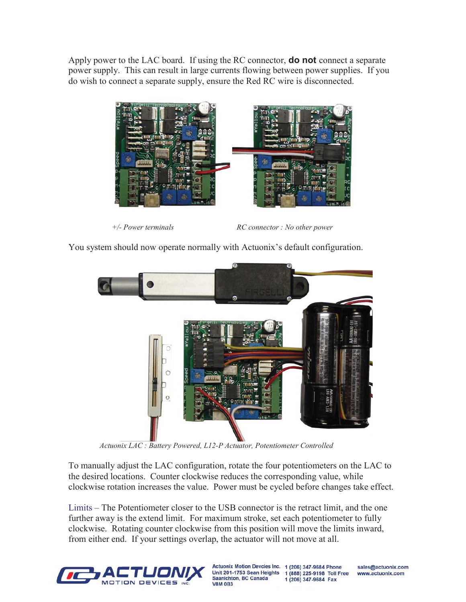Apply power to the LAC board. If using the RC connector, **do not** connect a separate power supply. This can result in large currents flowing between power supplies. If you do wish to connect a separate supply, ensure the Red RC wire is disconnected.



*+/- Power terminals RC connector : No other power* 

You system should now operate normally with Actuonix's default configuration.



 *Actuonix LAC : Battery Powered, L12-P Actuator, Potentiometer Controlled* 

To manually adjust the LAC configuration, rotate the four potentiometers on the LAC to the desired locations. Counter clockwise reduces the corresponding value, while clockwise rotation increases the value. Power must be cycled before changes take effect.

Limits – The Potentiometer closer to the USB connector is the retract limit, and the one further away is the extend limit. For maximum stroke, set each potentiometer to fully clockwise. Rotating counter clockwise from this position will move the limits inward, from either end. If your settings overlap, the actuator will not move at all.



Saanichton, BC Canada **V8M 0B3** 

Actuonix Motion Devcies Inc. 1 (206) 347-9684 Phone Unit 201-1753 Sean Heights 1 (888) 225-9198 Toll Free 1 (206) 347-9684 Fax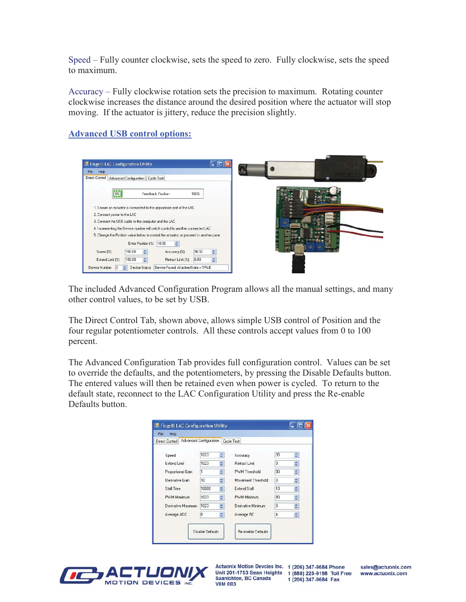Speed – Fully counter clockwise, sets the speed to zero. Fully clockwise, sets the speed to maximum.

Accuracy – Fully clockwise rotation sets the precision to maximum. Rotating counter clockwise increases the distance around the desired position where the actuator will stop moving. If the actuator is jittery, reduce the precision slightly.

#### Advanced USB control options:

| <b>E.</b> Firgelli LAC Configuration Utility                                           |  |
|----------------------------------------------------------------------------------------|--|
| File<br>Help<br>Direct Control<br>Advanced Configuration   Cycle Test                  |  |
| 0 <sub>z</sub><br>Feedback Position<br>100%                                            |  |
| 1. Ensure an actuator is connected to the appropriate port of the LAC                  |  |
| 2. Connect power to the LAC                                                            |  |
| 3. Connect the USB cable to the computer and the LAC                                   |  |
| 4. Incrementing the Device number will switch control to another connected LAC         |  |
| 5. Change the Position value below to control the actuator, or proceed to another pane |  |
| 10.00<br>Enter Position (%)                                                            |  |
| 96.50<br>100.00<br>Speed [%]<br>Accuracy (%)                                           |  |
| ÷<br>0.00<br>100.00<br>Extend Limit [%]<br>스<br>Retract Limit [%]                      |  |
| Device Status<br>Device Found: AttachedState = TRUE<br>Device Number<br>I0.            |  |

The included Advanced Configuration Program allows all the manual settings, and many other control values, to be set by USB.

The Direct Control Tab, shown above, allows simple USB control of Position and the four regular potentiometer controls. All these controls accept values from 0 to 100 percent.

The Advanced Configuration Tab provides full configuration control. Values can be set to override the defaults, and the potentiometers, by pressing the Disable Defaults button. The entered values will then be retained even when power is cycled. To return to the default state, reconnect to the LAC Configuration Utility and press the Re-enable Defaults button.

| <b>Direct Control</b> | Advanced Configuration |                     | Cycle Test         |    |   |
|-----------------------|------------------------|---------------------|--------------------|----|---|
| Speed                 | 1023                   | ≎                   | Accuracy           | 35 | ÷ |
| Extend Limit          | 1023                   | ٠                   | Retract Limit      | O  | ٥ |
| Proportional Gain     | 1                      | $\div$              | PWM Threshold      | 80 | ٥ |
| Derivative Gain       | 10                     | $\div$              | Movement Threshold | 3  | ٥ |
| Stall Time            | 10000                  | ≎                   | Extend Stall       | 10 | ٥ |
| PWM Maximum           | 1023                   | ≎                   | PWM Minimum        | 80 | ٥ |
| Derivative Maximum    | 1023                   | ٥                   | Derivative Minimum | o  | ٥ |
| Average ADC           | 8                      | $\ddot{\dot{\ast}}$ | Average RC         | 4  | ٥ |



Actuonix Motion Devcies Inc. 1 (206) 347-9684 Phone Unit 201-1753 Sean Heights 1 (888) 225-9198 Toll Free Saanichton, BC Canada **V8M 0B3** 

1 (206) 347-9684 Fax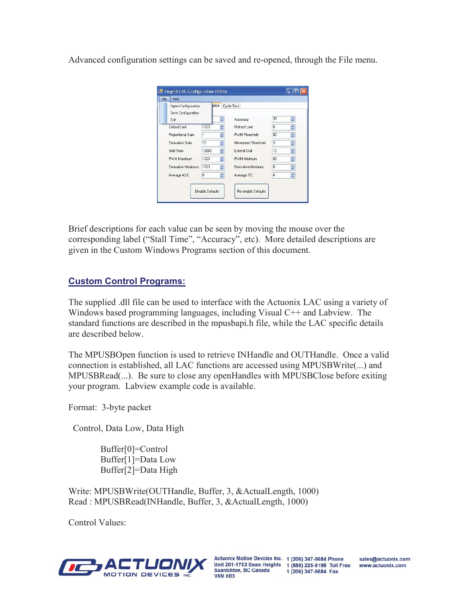Advanced configuration settings can be saved and re-opened, through the File menu.

| ation<br>Open Configuration<br>Save Configuration |       |        | Cycle Test          |                 |               |  |
|---------------------------------------------------|-------|--------|---------------------|-----------------|---------------|--|
| Exit                                              |       | ÷      | Accuracy            | 35              | ≎             |  |
| Extend Limit                                      | 1023  | ٠      | Retract Limit       | $\Omega$        | ≎             |  |
| Proportional Gain                                 | 1     | ٠      | PWM Threshold       | 80              | ≎             |  |
| Derivative Gain                                   | 10    | ÷      | Movement Threshold  | 3               | ٠<br>₩        |  |
| Stall Time                                        | 10000 | ٥      | <b>Extend Stall</b> | 10              | $\hat{\cdot}$ |  |
| PWM Maximum                                       | 1023  | ٠      | PWM Minimum         | 80 <sub>1</sub> | $\div$        |  |
| Derivative Maximum                                | 1023  | ÷      | Derivative Minimum  | $\mathbf 0$     | ٨<br>÷        |  |
| Average ADC                                       | 8     | $\div$ | Average RC          | 4               | ÷             |  |

Brief descriptions for each value can be seen by moving the mouse over the corresponding label ("Stall Time", "Accuracy", etc). More detailed descriptions are given in the Custom Windows Programs section of this document.

#### Custom Control Programs:

The supplied .dll file can be used to interface with the Actuonix LAC using a variety of Windows based programming languages, including Visual C<sup>++</sup> and Labview. The standard functions are described in the mpusbapi.h file, while the LAC specific details are described below.

The MPUSBOpen function is used to retrieve INHandle and OUTHandle. Once a valid connection is established, all LAC functions are accessed using MPUSBWrite(...) and MPUSBRead(...). Be sure to close any openHandles with MPUSBClose before exiting your program. Labview example code is available.

Format: 3-byte packet

Control, Data Low, Data High

 Buffer[0]=Control Buffer[1]=Data Low Buffer[2]=Data High

Write: MPUSBWrite(OUTHandle, Buffer, 3, &ActualLength, 1000) Read : MPUSBRead(INHandle, Buffer, 3, &ActualLength, 1000)

Control Values:



Actuonix Motion Devcies Inc. 1 (206) 347-9684 Phone Unit 201-1753 Sean Heights 1 (888) 225-9198 Toll Free Saanichton, BC Canada **V8M 0B3** 

1 (206) 347-9684 Fax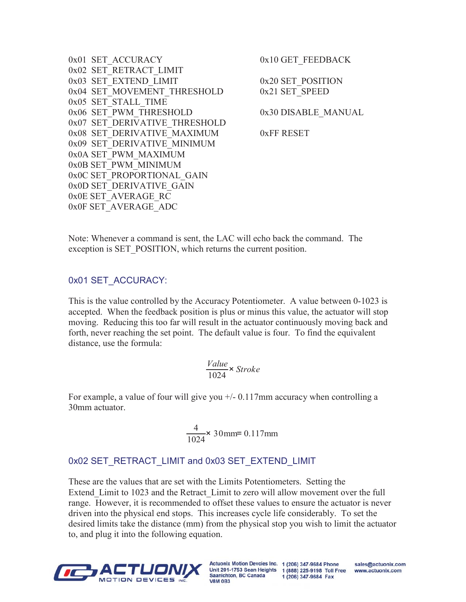```
0x01 SET_ACCURACY 0x10 GET_FEEDBACK
0x02 SET_RETRACT_LIMIT 
0x03 SET EXTEND LIMIT 0x20 SET POSITION
0x04 SET MOVEMENT THRESHOLD 0x21 SET SPEED
0x05 SET_STALL_TIME 
0x06 SET PWM THRESHOLD 0x30 DISABLE MANUAL
0x07 SET DERIVATIVE THRESHOLD
0x08 SET_DERIVATIVE_MAXIMUM 0xFF RESET
0x09 SET_DERIVATIVE_MINIMUM 
0x0A SET_PWM_MAXIMUM 
0x0B SET_PWM_MINIMUM 
0x0C SET_PROPORTIONAL_GAIN
0x0D SET_DERIVATIVE_GAIN
0x0E SET_AVERAGE_RC 
0x0F SET_AVERAGE_ADC
```
Note: Whenever a command is sent, the LAC will echo back the command. The exception is SET\_POSITION, which returns the current position.

#### 0x01 SET\_ACCURACY:

This is the value controlled by the Accuracy Potentiometer. A value between 0-1023 is accepted. When the feedback position is plus or minus this value, the actuator will stop moving. Reducing this too far will result in the actuator continuously moving back and forth, never reaching the set point. The default value is four. To find the equivalent distance, use the formula:

$$
\frac{Value}{1024} \times \text{Stroke}
$$

For example, a value of four will give you  $+/-$  0.117mm accuracy when controlling a 30mm actuator.

$$
\frac{4}{1024} \times 30 \text{mm} = 0.117 \text{mm}
$$

#### 0x02 SET\_RETRACT\_LIMIT and 0x03 SET\_EXTEND\_LIMIT

These are the values that are set with the Limits Potentiometers. Setting the Extend\_Limit to 1023 and the Retract\_Limit to zero will allow movement over the full range. However, it is recommended to offset these values to ensure the actuator is never driven into the physical end stops. This increases cycle life considerably. To set the desired limits take the distance (mm) from the physical stop you wish to limit the actuator to, and plug it into the following equation.



Actuonix Motion Devcies Inc. 1 (206) 347-9684 Phone Saanichton, BC Canada **V8M 0B3** 

Unit 201-1753 Sean Heights 1 (888) 225-9198 Toll Free 1 (206) 347-9684 Fax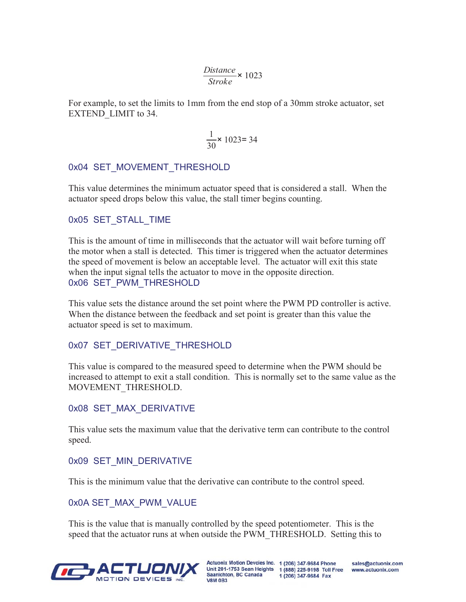$$
\frac{Distance}{Stroke} \times 1023
$$

For example, to set the limits to 1mm from the end stop of a 30mm stroke actuator, set EXTEND\_LIMIT to 34.

$$
\frac{1}{30} \times 1023 = 34
$$

#### 0x04 SET MOVEMENT THRESHOLD

This value determines the minimum actuator speed that is considered a stall. When the actuator speed drops below this value, the stall timer begins counting.

#### 0x05 SET STALL TIME

This is the amount of time in milliseconds that the actuator will wait before turning off the motor when a stall is detected. This timer is triggered when the actuator determines the speed of movement is below an acceptable level. The actuator will exit this state when the input signal tells the actuator to move in the opposite direction. 0x06 SET PWM THRESHOLD

This value sets the distance around the set point where the PWM PD controller is active. When the distance between the feedback and set point is greater than this value the actuator speed is set to maximum.

#### 0x07 SET\_DERIVATIVE\_THRESHOLD

This value is compared to the measured speed to determine when the PWM should be increased to attempt to exit a stall condition. This is normally set to the same value as the MOVEMENT\_THRESHOLD.

#### 0x08 SET MAX DERIVATIVE

This value sets the maximum value that the derivative term can contribute to the control speed.

#### 0x09 SET MIN DERIVATIVE

This is the minimum value that the derivative can contribute to the control speed.

#### 0x0A SET\_MAX\_PWM\_VALUE

This is the value that is manually controlled by the speed potentiometer. This is the speed that the actuator runs at when outside the PWM\_THRESHOLD. Setting this to



Actuonix Motion Devcies Inc. 1 (206) 347-9684 Phone Saanichton, BC Canada **V8M 0B3** 

Unit 201-1753 Sean Heights 1 (888) 225-9198 Toll Free 1 (206) 347-9684 Fax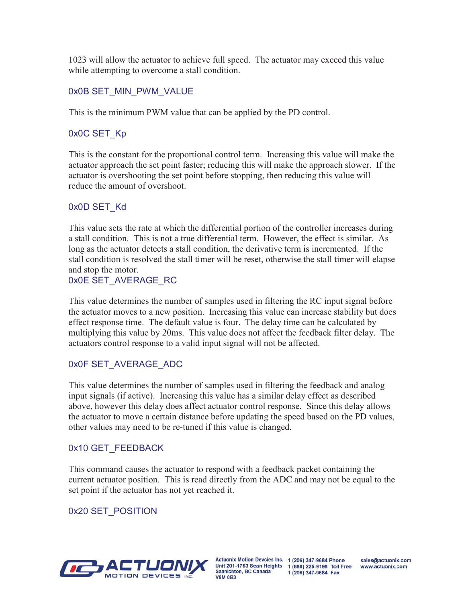1023 will allow the actuator to achieve full speed. The actuator may exceed this value while attempting to overcome a stall condition.

#### 0x0B SET\_MIN\_PWM\_VALUE

This is the minimum PWM value that can be applied by the PD control.

#### 0x0C SET\_Kp

This is the constant for the proportional control term. Increasing this value will make the actuator approach the set point faster; reducing this will make the approach slower. If the actuator is overshooting the set point before stopping, then reducing this value will reduce the amount of overshoot.

#### 0x0D SET\_Kd

This value sets the rate at which the differential portion of the controller increases during a stall condition. This is not a true differential term. However, the effect is similar. As long as the actuator detects a stall condition, the derivative term is incremented. If the stall condition is resolved the stall timer will be reset, otherwise the stall timer will elapse and stop the motor.

#### 0x0E SET\_AVERAGE\_RC

This value determines the number of samples used in filtering the RC input signal before the actuator moves to a new position. Increasing this value can increase stability but does effect response time. The default value is four. The delay time can be calculated by multiplying this value by 20ms. This value does not affect the feedback filter delay. The actuators control response to a valid input signal will not be affected.

#### 0x0F SET\_AVERAGE\_ADC

This value determines the number of samples used in filtering the feedback and analog input signals (if active). Increasing this value has a similar delay effect as described above, however this delay does affect actuator control response. Since this delay allows the actuator to move a certain distance before updating the speed based on the PD values, other values may need to be re-tuned if this value is changed.

#### 0x10 GET\_FEEDBACK

This command causes the actuator to respond with a feedback packet containing the current actuator position. This is read directly from the ADC and may not be equal to the set point if the actuator has not yet reached it.

#### 0x20 SET\_POSITION



Actuonix Motion Devcies Inc. 1 (206) 347-9684 Phone Unit 201-1753 Sean Heights 1 (888) 225-9198 Toll Free Saanichton, BC Canada **V8M 0B3** 

1 (206) 347-9684 Fax